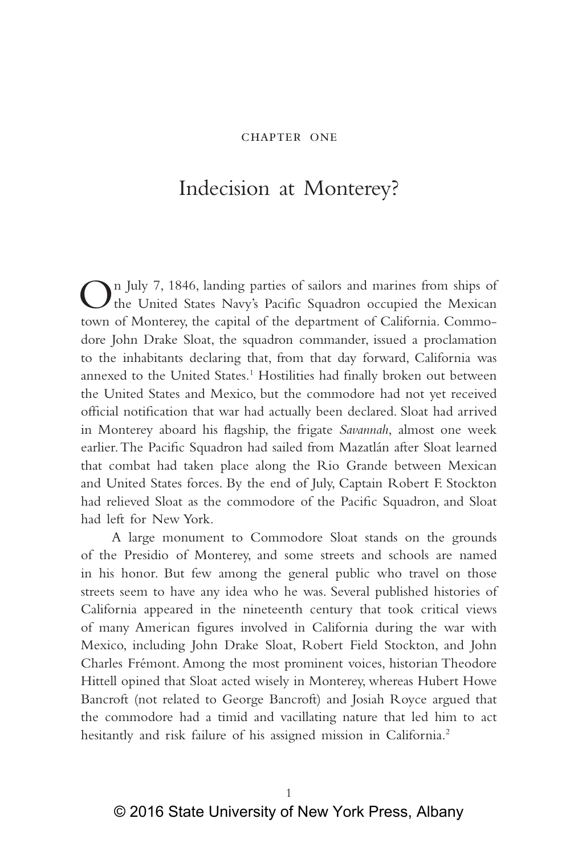## chapter one

## Indecision at Monterey?

On July 7, 1846, landing parties of sailors and marines from ships of the United States Navy's Pacific Squadron occupied the Mexican town of Monterey, the capital of the department of California. Commodore John Drake Sloat, the squadron commander, issued a proclamation to the inhabitants declaring that, from that day forward, California was annexed to the United States.<sup>1</sup> Hostilities had finally broken out between the United States and Mexico, but the commodore had not yet received official notification that war had actually been declared. Sloat had arrived in Monterey aboard his flagship, the frigate *Savannah*, almost one week earlier. The Pacific Squadron had sailed from Mazatlán after Sloat learned that combat had taken place along the Rio Grande between Mexican and United States forces. By the end of July, Captain Robert F. Stockton had relieved Sloat as the commodore of the Pacific Squadron, and Sloat had left for New York.

A large monument to Commodore Sloat stands on the grounds of the Presidio of Monterey, and some streets and schools are named in his honor. But few among the general public who travel on those streets seem to have any idea who he was. Several published histories of California appeared in the nineteenth century that took critical views of many American figures involved in California during the war with Mexico, including John Drake Sloat, Robert Field Stockton, and John Charles Frémont. Among the most prominent voices, historian Theodore Hittell opined that Sloat acted wisely in Monterey, whereas Hubert Howe Bancroft (not related to George Bancroft) and Josiah Royce argued that the commodore had a timid and vacillating nature that led him to act hesitantly and risk failure of his assigned mission in California.<sup>2</sup>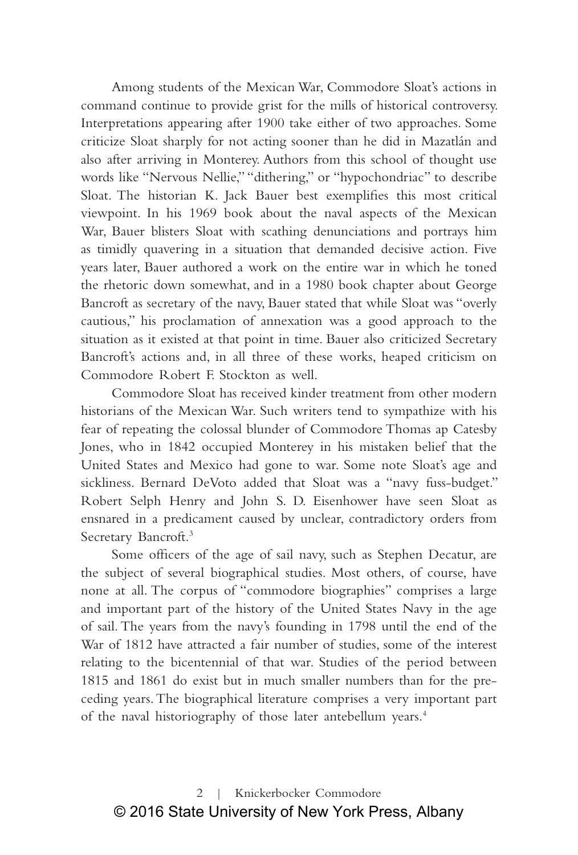Among students of the Mexican War, Commodore Sloat's actions in command continue to provide grist for the mills of historical controversy. Interpretations appearing after 1900 take either of two approaches. Some criticize Sloat sharply for not acting sooner than he did in Mazatlán and also after arriving in Monterey. Authors from this school of thought use words like "Nervous Nellie," "dithering," or "hypochondriac" to describe Sloat. The historian K. Jack Bauer best exemplifies this most critical viewpoint. In his 1969 book about the naval aspects of the Mexican War, Bauer blisters Sloat with scathing denunciations and portrays him as timidly quavering in a situation that demanded decisive action. Five years later, Bauer authored a work on the entire war in which he toned the rhetoric down somewhat, and in a 1980 book chapter about George Bancroft as secretary of the navy, Bauer stated that while Sloat was "overly cautious," his proclamation of annexation was a good approach to the situation as it existed at that point in time. Bauer also criticized Secretary Bancroft's actions and, in all three of these works, heaped criticism on Commodore Robert F. Stockton as well.

Commodore Sloat has received kinder treatment from other modern historians of the Mexican War. Such writers tend to sympathize with his fear of repeating the colossal blunder of Commodore Thomas ap Catesby Jones, who in 1842 occupied Monterey in his mistaken belief that the United States and Mexico had gone to war. Some note Sloat's age and sickliness. Bernard DeVoto added that Sloat was a "navy fuss-budget." Robert Selph Henry and John S. D. Eisenhower have seen Sloat as ensnared in a predicament caused by unclear, contradictory orders from Secretary Bancroft.<sup>3</sup>

Some officers of the age of sail navy, such as Stephen Decatur, are the subject of several biographical studies. Most others, of course, have none at all. The corpus of "commodore biographies" comprises a large and important part of the history of the United States Navy in the age of sail. The years from the navy's founding in 1798 until the end of the War of 1812 have attracted a fair number of studies, some of the interest relating to the bicentennial of that war. Studies of the period between 1815 and 1861 do exist but in much smaller numbers than for the preceding years. The biographical literature comprises a very important part of the naval historiography of those later antebellum years.<sup>4</sup>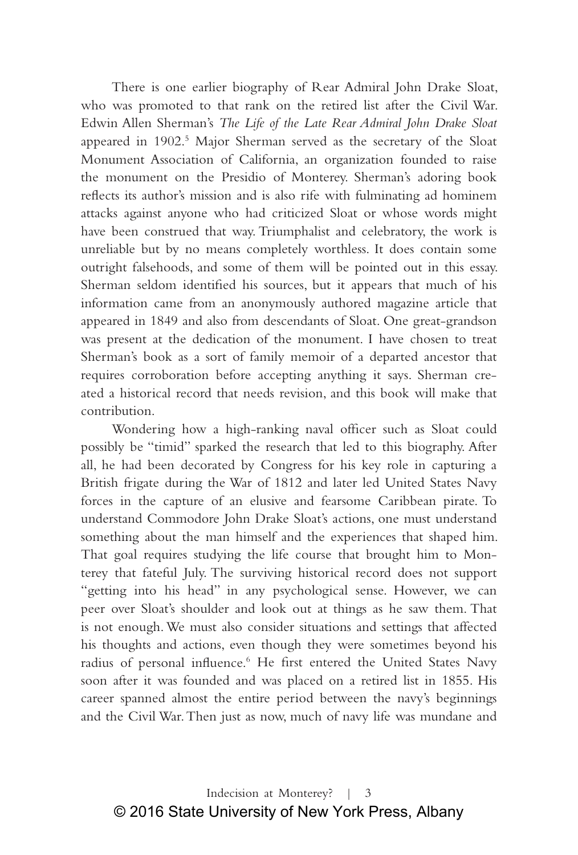There is one earlier biography of Rear Admiral John Drake Sloat, who was promoted to that rank on the retired list after the Civil War. Edwin Allen Sherman's *The Life of the Late Rear Admiral John Drake Sloat*  appeared in 1902.<sup>5</sup> Major Sherman served as the secretary of the Sloat Monument Association of California, an organization founded to raise the monument on the Presidio of Monterey. Sherman's adoring book reflects its author's mission and is also rife with fulminating ad hominem attacks against anyone who had criticized Sloat or whose words might have been construed that way. Triumphalist and celebratory, the work is unreliable but by no means completely worthless. It does contain some outright falsehoods, and some of them will be pointed out in this essay. Sherman seldom identified his sources, but it appears that much of his information came from an anonymously authored magazine article that appeared in 1849 and also from descendants of Sloat. One great-grandson was present at the dedication of the monument. I have chosen to treat Sherman's book as a sort of family memoir of a departed ancestor that requires corroboration before accepting anything it says. Sherman created a historical record that needs revision, and this book will make that contribution.

Wondering how a high-ranking naval officer such as Sloat could possibly be "timid" sparked the research that led to this biography. After all, he had been decorated by Congress for his key role in capturing a British frigate during the War of 1812 and later led United States Navy forces in the capture of an elusive and fearsome Caribbean pirate. To understand Commodore John Drake Sloat's actions, one must understand something about the man himself and the experiences that shaped him. That goal requires studying the life course that brought him to Monterey that fateful July. The surviving historical record does not support "getting into his head" in any psychological sense. However, we can peer over Sloat's shoulder and look out at things as he saw them. That is not enough. We must also consider situations and settings that affected his thoughts and actions, even though they were sometimes beyond his radius of personal influence.<sup>6</sup> He first entered the United States Navy soon after it was founded and was placed on a retired list in 1855. His career spanned almost the entire period between the navy's beginnings and the Civil War. Then just as now, much of navy life was mundane and

Indecision at Monterey? | 3 © 2016 State University of New York Press, Albany